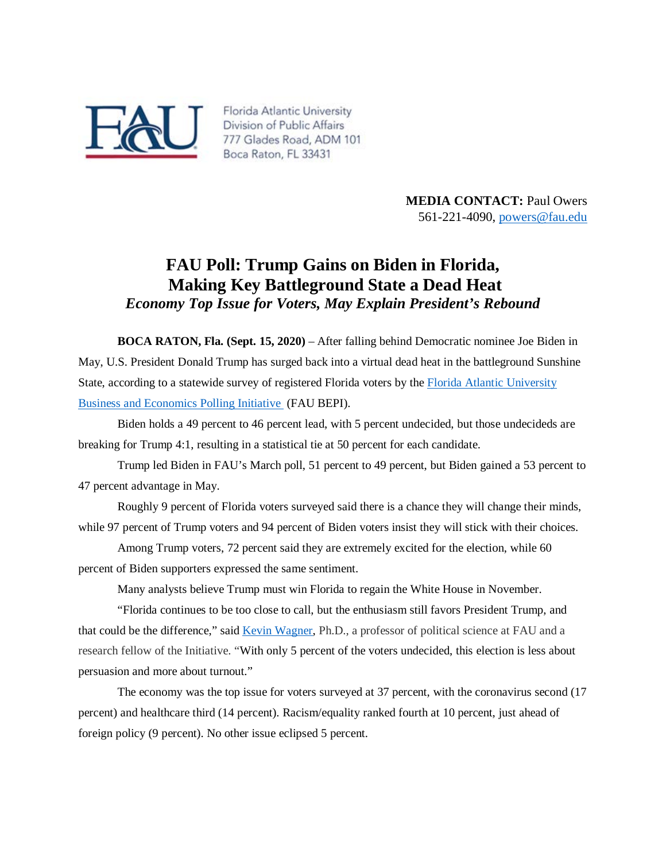

Florida Atlantic University Division of Public Affairs 777 Glades Road, ADM 101 Boca Raton, FL 33431

> **MEDIA CONTACT: Paul Owers** 561-221-4090, [powers@fau.edu](mailto:powers@fau.edu)

## **FAU Poll: Trump Gains on Biden in Florida, Making Key Battleground State a Dead Heat** *Economy Top Issue for Voters, May Explain President's Rebound*

**BOCA RATON, Fla. (Sept. 15, 2020)** – After falling behind Democratic nominee Joe Biden in May, U.S. President Donald Trump has surged back into a virtual dead heat in the battleground Sunshine State, according to a statewide survey of registered Florida voters by the Florida Atlantic University [Business and Economics Polling Initiative](https://business.fau.edu/departments/economics/business-economics-polling/index.php) (FAU BEPI).

Biden holds a 49 percent to 46 percent lead, with 5 percent undecided, but those undecideds are breaking for Trump 4:1, resulting in a statistical tie at 50 percent for each candidate.

Trump led Biden in FAU's March poll, 51 percent to 49 percent, but Biden gained a 53 percent to 47 percent advantage in May.

Roughly 9 percent of Florida voters surveyed said there is a chance they will change their minds, while 97 percent of Trump voters and 94 percent of Biden voters insist they will stick with their choices.

Among Trump voters, 72 percent said they are extremely excited for the election, while 60 percent of Biden supporters expressed the same sentiment.

Many analysts believe Trump must win Florida to regain the White House in November.

"Florida continues to be too close to call, but the enthusiasm still favors President Trump, and that could be the difference," said [Kevin Wagner,](http://www.fau.edu/artsandletters/politicalscience/faculty/wagner/) Ph.D., a professor of political science at FAU and a research fellow of the Initiative. "With only 5 percent of the voters undecided, this election is less about persuasion and more about turnout."

The economy was the top issue for voters surveyed at 37 percent, with the coronavirus second (17 percent) and healthcare third (14 percent). Racism/equality ranked fourth at 10 percent, just ahead of foreign policy (9 percent). No other issue eclipsed 5 percent.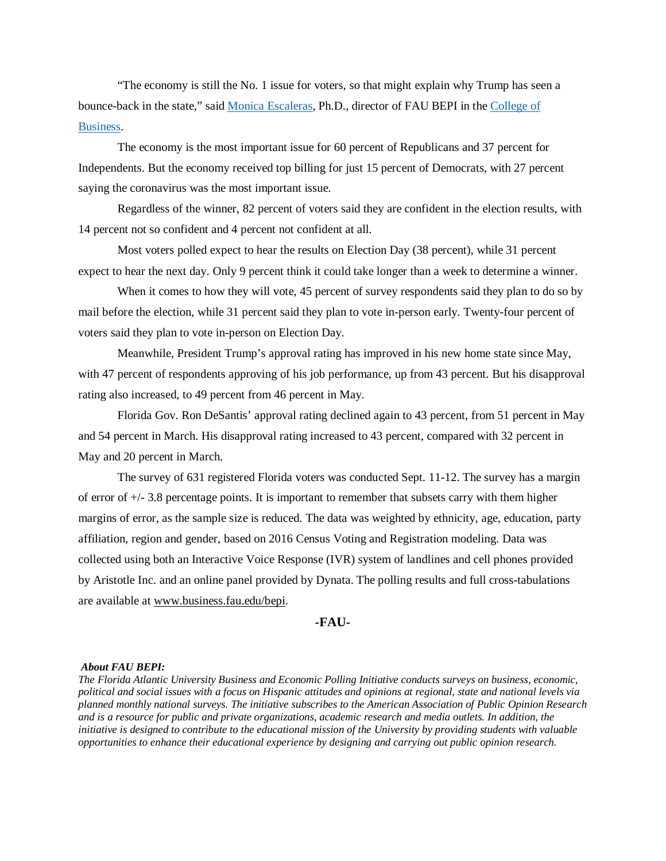"The economy is still the No. 1 issue for voters, so that might explain why Trump has seen a bounce-back in the state," said [Monica Escaleras,](https://business.fau.edu/faculty-research/faculty-profiles/profile/mescaler.php) Ph.D., director of FAU BEPI in the [College of](https://business.fau.edu/)  [Business.](https://business.fau.edu/)

The economy is the most important issue for 60 percent of Republicans and 37 percent for Independents. But the economy received top billing for just 15 percent of Democrats, with 27 percent saying the coronavirus was the most important issue.

Regardless of the winner, 82 percent of voters said they are confident in the election results, with 14 percent not so confident and 4 percent not confident at all.

Most voters polled expect to hear the results on Election Day (38 percent), while 31 percent expect to hear the next day. Only 9 percent think it could take longer than a week to determine a winner.

When it comes to how they will vote, 45 percent of survey respondents said they plan to do so by mail before the election, while 31 percent said they plan to vote in-person early. Twenty-four percent of voters said they plan to vote in-person on Election Day.

Meanwhile, President Trump's approval rating has improved in his new home state since May, with 47 percent of respondents approving of his job performance, up from 43 percent. But his disapproval rating also increased, to 49 percent from 46 percent in May.

Florida Gov. Ron DeSantis' approval rating declined again to 43 percent, from 51 percent in May and 54 percent in March. His disapproval rating increased to 43 percent, compared with 32 percent in May and 20 percent in March.

The survey of 631 registered Florida voters was conducted Sept. 11-12. The survey has a margin of error of +/- 3.8 percentage points. It is important to remember that subsets carry with them higher margins of error, as the sample size is reduced. The data was weighted by ethnicity, age, education, party affiliation, region and gender, based on 2016 Census Voting and Registration modeling. Data was collected using both an Interactive Voice Response (IVR) system of landlines and cell phones provided by Aristotle Inc. and an online panel provided by Dynata. The polling results and full cross-tabulations are available at [www.business.fau.edu/bepi.](https://business.fau.edu/departments/economics/business-economics-polling/index.php)

## **-FAU-**

## *About FAU BEPI:*

*The Florida Atlantic University Business and Economic Polling Initiative conducts surveys on business, economic, political and social issues with a focus on Hispanic attitudes and opinions at regional, state and national levels via planned monthly national surveys. The initiative subscribes to the American Association of Public Opinion Research and is a resource for public and private organizations, academic research and media outlets. In addition, the initiative is designed to contribute to the educational mission of the University by providing students with valuable opportunities to enhance their educational experience by designing and carrying out public opinion research.*